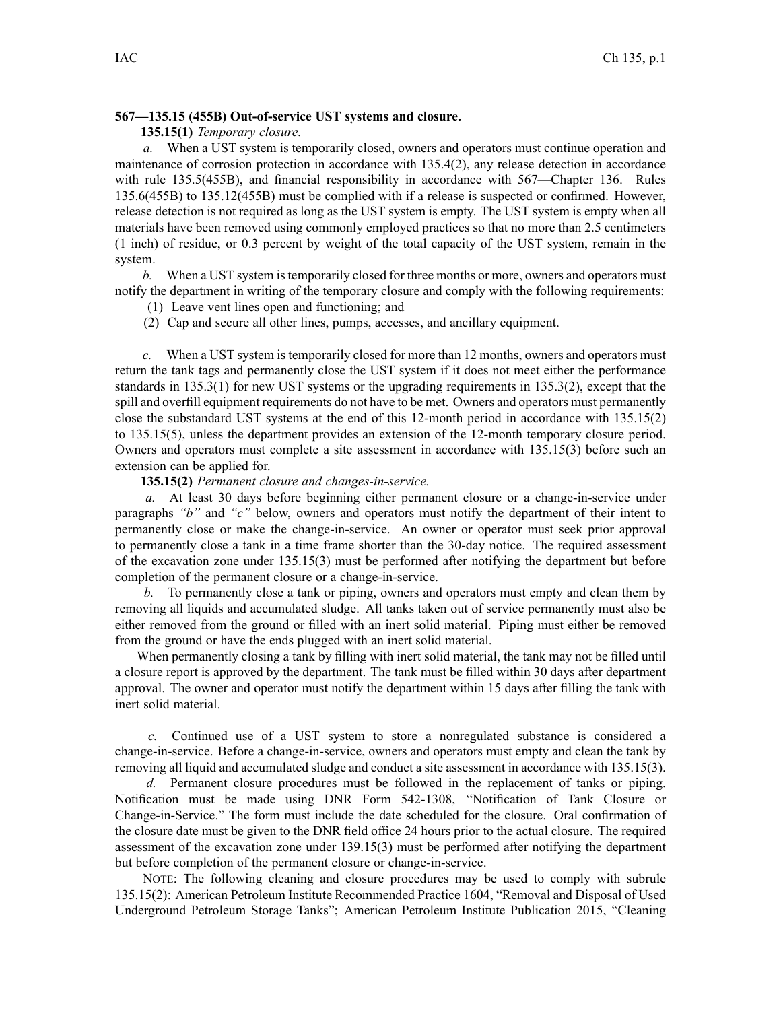# **567—135.15 (455B) Out-of-service UST systems and closure.**

## **135.15(1)** *Temporary closure.*

*a.* When <sup>a</sup> UST system is temporarily closed, owners and operators must continue operation and maintenance of corrosion protection in accordance with 135.4(2), any release detection in accordance with rule 135.5(455B), and financial responsibility in accordance with 567—Chapter 136. Rules 135.6(455B) to 135.12(455B) must be complied with if <sup>a</sup> release is suspected or confirmed. However, release detection is not required as long as the UST system is empty. The UST system is empty when all materials have been removed using commonly employed practices so that no more than 2.5 centimeters (1 inch) of residue, or 0.3 percen<sup>t</sup> by weight of the total capacity of the UST system, remain in the system.

*b.* When a UST system is temporarily closed for three months or more, owners and operators must notify the department in writing of the temporary closure and comply with the following requirements:

- (1) Leave vent lines open and functioning; and
- (2) Cap and secure all other lines, pumps, accesses, and ancillary equipment.

*c.* When <sup>a</sup> UST system istemporarily closed for more than 12 months, owners and operators must return the tank tags and permanently close the UST system if it does not meet either the performance standards in 135.3(1) for new UST systems or the upgrading requirements in 135.3(2), excep<sup>t</sup> that the spill and overfill equipment requirements do not have to be met. Owners and operators must permanently close the substandard UST systems at the end of this 12-month period in accordance with 135.15(2) to 135.15(5), unless the department provides an extension of the 12-month temporary closure period. Owners and operators must complete <sup>a</sup> site assessment in accordance with 135.15(3) before such an extension can be applied for.

#### **135.15(2)** *Permanent closure and changes-in-service.*

*a.* At least 30 days before beginning either permanen<sup>t</sup> closure or <sup>a</sup> change-in-service under paragraphs *"b"* and *"c"* below, owners and operators must notify the department of their intent to permanently close or make the change-in-service. An owner or operator must seek prior approval to permanently close <sup>a</sup> tank in <sup>a</sup> time frame shorter than the 30-day notice. The required assessment of the excavation zone under 135.15(3) must be performed after notifying the department but before completion of the permanen<sup>t</sup> closure or <sup>a</sup> change-in-service.

*b.* To permanently close <sup>a</sup> tank or piping, owners and operators must empty and clean them by removing all liquids and accumulated sludge. All tanks taken out of service permanently must also be either removed from the ground or filled with an inert solid material. Piping must either be removed from the ground or have the ends plugged with an inert solid material.

When permanently closing <sup>a</sup> tank by filling with inert solid material, the tank may not be filled until <sup>a</sup> closure repor<sup>t</sup> is approved by the department. The tank must be filled within 30 days after department approval. The owner and operator must notify the department within 15 days after filling the tank with inert solid material.

*c.* Continued use of <sup>a</sup> UST system to store <sup>a</sup> nonregulated substance is considered <sup>a</sup> change-in-service. Before <sup>a</sup> change-in-service, owners and operators must empty and clean the tank by removing all liquid and accumulated sludge and conduct <sup>a</sup> site assessment in accordance with 135.15(3).

*d.* Permanent closure procedures must be followed in the replacement of tanks or piping. Notification must be made using DNR Form 542-1308, "Notification of Tank Closure or Change-in-Service." The form must include the date scheduled for the closure. Oral confirmation of the closure date must be given to the DNR field office 24 hours prior to the actual closure. The required assessment of the excavation zone under 139.15(3) must be performed after notifying the department but before completion of the permanen<sup>t</sup> closure or change-in-service.

NOTE: The following cleaning and closure procedures may be used to comply with subrule 135.15(2): American Petroleum Institute Recommended Practice 1604, "Removal and Disposal of Used Underground Petroleum Storage Tanks"; American Petroleum Institute Publication 2015, "Cleaning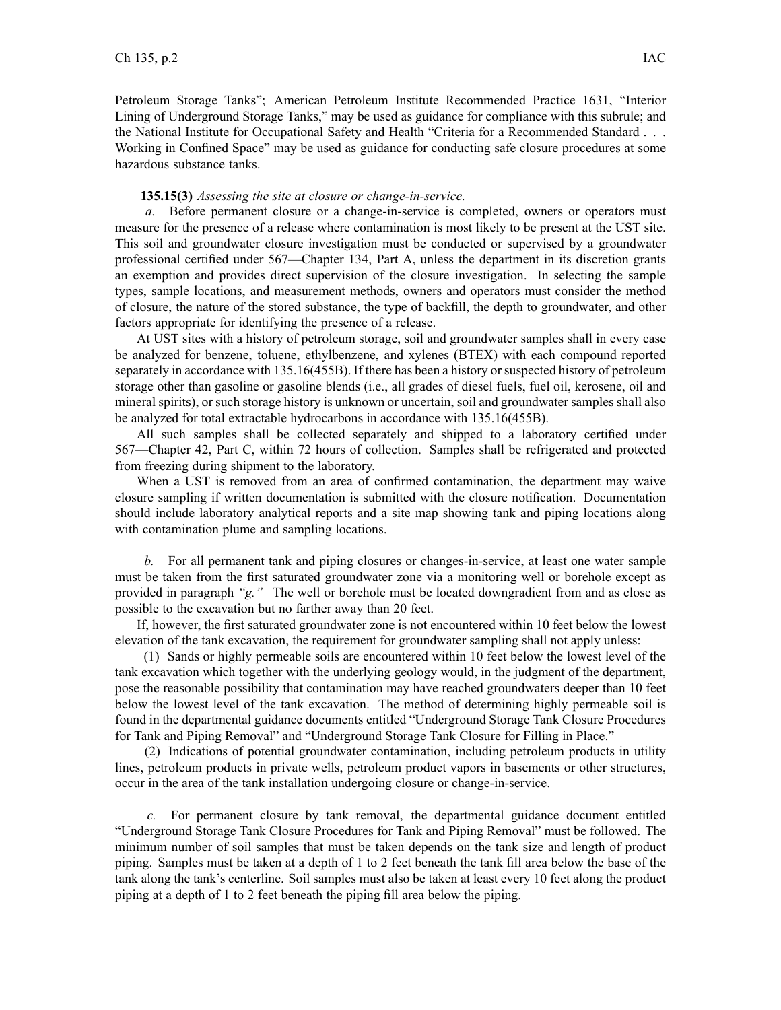## **135.15(3)** *Assessing the site at closure or change-in-service.*

*a.* Before permanen<sup>t</sup> closure or <sup>a</sup> change-in-service is completed, owners or operators must measure for the presence of <sup>a</sup> release where contamination is most likely to be presen<sup>t</sup> at the UST site. This soil and groundwater closure investigation must be conducted or supervised by <sup>a</sup> groundwater professional certified under 567—Chapter 134, Part A, unless the department in its discretion grants an exemption and provides direct supervision of the closure investigation. In selecting the sample types, sample locations, and measurement methods, owners and operators must consider the method of closure, the nature of the stored substance, the type of backfill, the depth to groundwater, and other factors appropriate for identifying the presence of <sup>a</sup> release.

At UST sites with <sup>a</sup> history of petroleum storage, soil and groundwater samples shall in every case be analyzed for benzene, toluene, ethylbenzene, and xylenes (BTEX) with each compound reported separately in accordance with 135.16(455B). If there has been <sup>a</sup> history orsuspected history of petroleum storage other than gasoline or gasoline blends (i.e., all grades of diesel fuels, fuel oil, kerosene, oil and mineral spirits), or such storage history is unknown or uncertain, soil and groundwater samples shall also be analyzed for total extractable hydrocarbons in accordance with 135.16(455B).

All such samples shall be collected separately and shipped to <sup>a</sup> laboratory certified under 567—Chapter 42, Part C, within 72 hours of collection. Samples shall be refrigerated and protected from freezing during shipment to the laboratory.

When <sup>a</sup> UST is removed from an area of confirmed contamination, the department may waive closure sampling if written documentation is submitted with the closure notification. Documentation should include laboratory analytical reports and <sup>a</sup> site map showing tank and piping locations along with contamination plume and sampling locations.

*b.* For all permanen<sup>t</sup> tank and piping closures or changes-in-service, at least one water sample must be taken from the first saturated groundwater zone via <sup>a</sup> monitoring well or borehole excep<sup>t</sup> as provided in paragraph *"g."* The well or borehole must be located downgradient from and as close as possible to the excavation but no farther away than 20 feet.

If, however, the first saturated groundwater zone is not encountered within 10 feet below the lowest elevation of the tank excavation, the requirement for groundwater sampling shall not apply unless:

(1) Sands or highly permeable soils are encountered within 10 feet below the lowest level of the tank excavation which together with the underlying geology would, in the judgment of the department, pose the reasonable possibility that contamination may have reached groundwaters deeper than 10 feet below the lowest level of the tank excavation. The method of determining highly permeable soil is found in the departmental guidance documents entitled "Underground Storage Tank Closure Procedures for Tank and Piping Removal" and "Underground Storage Tank Closure for Filling in Place."

(2) Indications of potential groundwater contamination, including petroleum products in utility lines, petroleum products in private wells, petroleum product vapors in basements or other structures, occur in the area of the tank installation undergoing closure or change-in-service.

*c.* For permanen<sup>t</sup> closure by tank removal, the departmental guidance document entitled "Underground Storage Tank Closure Procedures for Tank and Piping Removal" must be followed. The minimum number of soil samples that must be taken depends on the tank size and length of product piping. Samples must be taken at <sup>a</sup> depth of 1 to 2 feet beneath the tank fill area below the base of the tank along the tank's centerline. Soil samples must also be taken at least every 10 feet along the product piping at <sup>a</sup> depth of 1 to 2 feet beneath the piping fill area below the piping.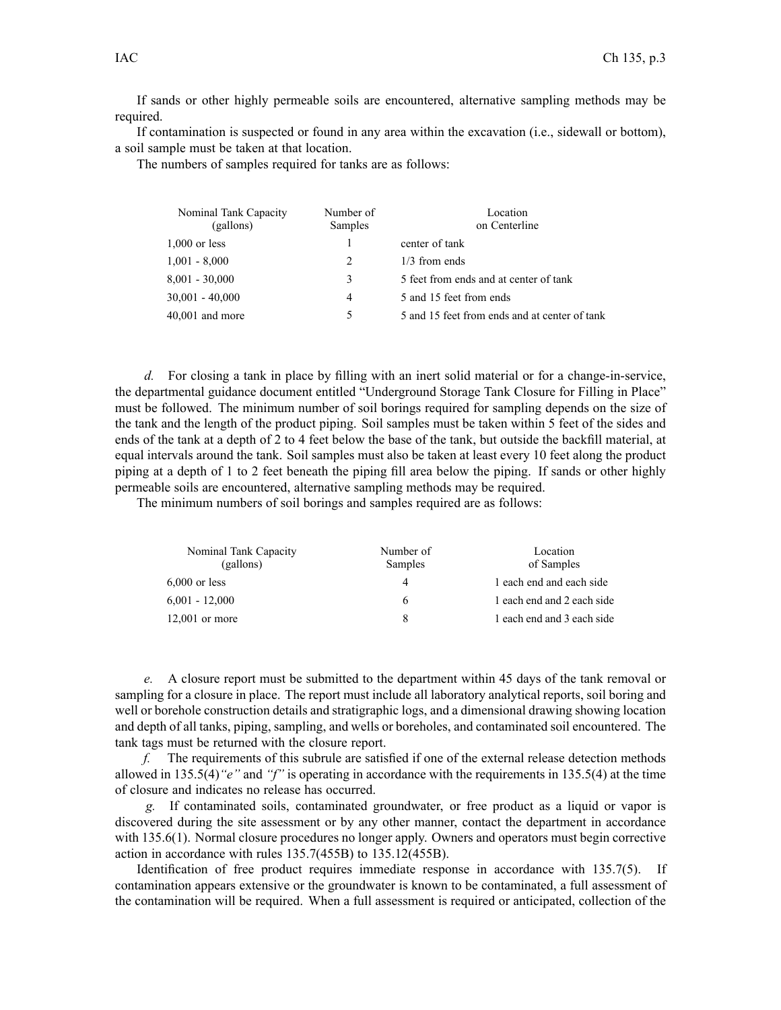If sands or other highly permeable soils are encountered, alternative sampling methods may be required.

If contamination is suspected or found in any area within the excavation (i.e., sidewall or bottom), <sup>a</sup> soil sample must be taken at that location.

The numbers of samples required for tanks are as follows:

| Nominal Tank Capacity<br>(gallons) | Number of<br>Samples | Location<br>on Centerline                     |  |
|------------------------------------|----------------------|-----------------------------------------------|--|
| $1,000$ or less                    |                      | center of tank                                |  |
| $1,001 - 8,000$                    | 2                    | $1/3$ from ends                               |  |
| 8,001 - 30,000                     | 3                    | 5 feet from ends and at center of tank        |  |
| $30,001 - 40,000$                  | 4                    | 5 and 15 feet from ends                       |  |
| 40,001 and more                    | 5                    | 5 and 15 feet from ends and at center of tank |  |
|                                    |                      |                                               |  |

*d.* For closing a tank in place by filling with an inert solid material or for a change-in-service, the departmental guidance document entitled "Underground Storage Tank Closure for Filling in Place" must be followed. The minimum number of soil borings required for sampling depends on the size of the tank and the length of the product piping. Soil samples must be taken within 5 feet of the sides and ends of the tank at <sup>a</sup> depth of 2 to 4 feet below the base of the tank, but outside the backfill material, at equal intervals around the tank. Soil samples must also be taken at least every 10 feet along the product piping at <sup>a</sup> depth of 1 to 2 feet beneath the piping fill area below the piping. If sands or other highly permeable soils are encountered, alternative sampling methods may be required.

The minimum numbers of soil borings and samples required are as follows:

| Nominal Tank Capacity<br>(gallons) | Number of<br>Samples | Location<br>of Samples<br>1 each end and each side |
|------------------------------------|----------------------|----------------------------------------------------|
| $6,000$ or less                    | 4                    |                                                    |
| $6,001 - 12,000$                   | 6                    | 1 each end and 2 each side                         |
| $12,001$ or more                   | 8                    | 1 each end and 3 each side                         |

*e.* A closure repor<sup>t</sup> must be submitted to the department within 45 days of the tank removal or sampling for <sup>a</sup> closure in place. The repor<sup>t</sup> must include all laboratory analytical reports, soil boring and well or borehole construction details and stratigraphic logs, and <sup>a</sup> dimensional drawing showing location and depth of all tanks, piping, sampling, and wells or boreholes, and contaminated soil encountered. The tank tags must be returned with the closure report.

*f.* The requirements of this subrule are satisfied if one of the external release detection methods allowed in 135.5(4)*"e"* and *"f"* is operating in accordance with the requirements in 135.5(4) at the time of closure and indicates no release has occurred.

*g.* If contaminated soils, contaminated groundwater, or free product as <sup>a</sup> liquid or vapor is discovered during the site assessment or by any other manner, contact the department in accordance with 135.6(1). Normal closure procedures no longer apply. Owners and operators must begin corrective action in accordance with rules 135.7(455B) to 135.12(455B).

Identification of free product requires immediate response in accordance with 135.7(5). If contamination appears extensive or the groundwater is known to be contaminated, <sup>a</sup> full assessment of the contamination will be required. When <sup>a</sup> full assessment is required or anticipated, collection of the